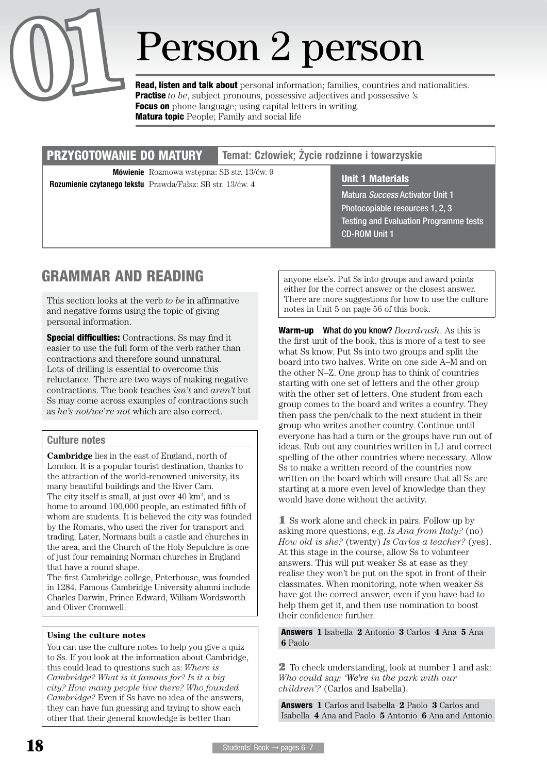

# **Person 2 person 2** mersonal **n**to **1Read, listen and talk about** personal information; families, countries and nationalities.

Practise *to be*, subject pronouns, possessive adjectives and possessive *'s.* **Focus on** phone language; using capital letters in writing. **Matura topic** People; Family and social life

#### przygotowanie do matury **Temat: Człowiek; Życie rodzinne i towarzyskie**

**Mówienie** Rozmowa wstępna: SB str. 13/ćw. 9 **Unit 1 Materials Rozumienie czytanego tekstu** Prawda/Fałsz: SB str. 13/ćw. 4

Matura *Success* Activator Unit 1 Photocopiable resources 1, 2, 3 Testing and Evaluation Programme tests CD-ROM Unit 1

## GRAMMAR AND Reading

This section looks at the verb *to be* in affirmative and negative forms using the topic of giving personal information.

**Special difficulties:** Contractions. Ss may find it easier to use the full form of the verb rather than contractions and therefore sound unnatural. Lots of drilling is essential to overcome this reluctance. There are two ways of making negative contractions. The book teaches *isn't* and *aren't* but Ss may come across examples of contractions such as *he's not/we're not* which are also correct.

#### Culture notes

**Cambridge** lies in the east of England, north of London. It is a popular tourist destination, thanks to the attraction of the world-renowned university, its many beautiful buildings and the River Cam.

The city itself is small, at just over  $40 \text{ km}^2$ , and is home to around 100,000 people, an estimated fifth of whom are students. It is believed the city was founded by the Romans, who used the river for transport and trading. Later, Normans built a castle and churches in the area, and the Church of the Holy Sepulchre is one of just four remaining Norman churches in England that have a round shape.

The first Cambridge college, Peterhouse, was founded in 1284. Famous Cambridge University alumni include Charles Darwin, Prince Edward, William Wordsworth and Oliver Cromwell.

#### **Using the culture notes**

You can use the culture notes to help you give a quiz to Ss. If you look at the information about Cambridge, this could lead to questions such as: *Where is Cambridge? What is it famous for? Is it a big city? How many people live there? Who founded Cambridge?* Even if Ss have no idea of the answers, they can have fun guessing and trying to show each other that their general knowledge is better than

anyone else's. Put Ss into groups and award points either for the correct answer or the closest answer. There are more suggestions for how to use the culture notes in Unit 5 on page 56 of this book.

Warm-up What do you know? *Boardrush*. As this is the first unit of the book, this is more of a test to see what Ss know. Put Ss into two groups and split the board into two halves. Write on one side A–M and on the other N–Z. One group has to think of countries starting with one set of letters and the other group with the other set of letters. One student from each group comes to the board and writes a country. They then pass the pen/chalk to the next student in their group who writes another country. Continue until everyone has had a turn or the groups have run out of ideas. Rub out any countries written in L1 and correct spelling of the other countries where necessary. Allow Ss to make a written record of the countries now written on the board which will ensure that all Ss are starting at a more even level of knowledge than they would have done without the activity.

1 Ss work alone and check in pairs. Follow up by asking more questions, e.g. *Is Ana from Italy?* (no) *How old is she?* (twenty) *Is Carlos a teacher?* (yes). At this stage in the course, allow Ss to volunteer answers. This will put weaker Ss at ease as they realise they won't be put on the spot in front of their classmates. When monitoring, note when weaker Ss have got the correct answer, even if you have had to help them get it, and then use nomination to boost their confidence further.

Answers **1** Isabella **2** Antonio **3** Carlos **4** Ana **5** Ana **6** Paolo

2 To check understanding, look at number 1 and ask: *Who could say: 'We're in the park with our children'?* (Carlos and Isabella).

Answers **1** Carlos and Isabella **2** Paolo **3** Carlos and Isabella **4** Ana and Paolo **5** Antonio **6** Ana and Antonio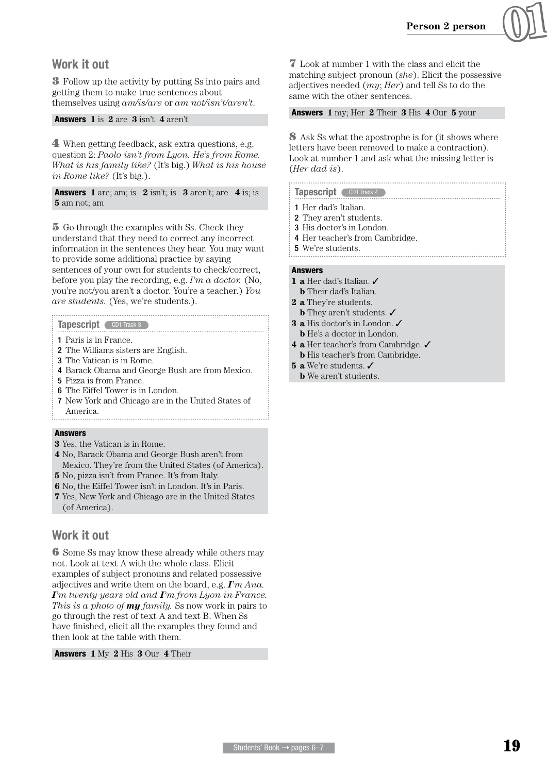

3 Follow up the activity by putting Ss into pairs and getting them to make true sentences about themselves using *am/is/are* or *am not/isn't/aren't*.

#### Answers **1** is **2** are **3** isn't **4** aren't

4 When getting feedback, ask extra questions, e.g. question 2: *Paolo isn't from Lyon. He's from Rome. What is his family like?* (It's big.) *What is his house in Rome like?* (It's big.).

Answers **1** are; am; is **2** isn't; is **3** aren't; are **4** is; is **5** am not; am

5 Go through the examples with Ss. Check they understand that they need to correct any incorrect information in the sentences they hear. You may want to provide some additional practice by saying sentences of your own for students to check/correct, before you play the recording, e.g. *I'm a doctor.* (No, you're not/you aren't a doctor. You're a teacher.) *You are students.* (Yes, we're students.).

#### Tapescript CD1 Track 3

- 1 Paris is in France.
- 2 The Williams sisters are English.
- 3 The Vatican is in Rome.
- 4 Barack Obama and George Bush are from Mexico.

- 5 Pizza is from France.
- 6 The Eiffel Tower is in London.
- 7 New York and Chicago are in the United States of America.

#### Answers

- **3** Yes, the Vatican is in Rome.
- **4** No, Barack Obama and George Bush aren't from Mexico. They're from the United States (of America).
- **5** No, pizza isn't from France. It's from Italy.
- **6** No, the Eiffel Tower isn't in London. It's in Paris.
- **7** Yes, New York and Chicago are in the United States (of America).

#### Work it out

6 Some Ss may know these already while others may not. Look at text A with the whole class. Elicit examples of subject pronouns and related possessive adjectives and write them on the board, e.g. *I'm Ana. I'm twenty years old and I'm from Lyon in France. This is a photo of my family.* Ss now work in pairs to go through the rest of text A and text B. When Ss have finished, elicit all the examples they found and then look at the table with them.

Answers **1** My **2** His **3** Our **4** Their

7 Look at number 1 with the class and elicit the matching subject pronoun (*she*). Elicit the possessive adjectives needed (*my*; *Her*) and tell Ss to do the same with the other sentences.

Answers **1** my; Her **2** Their **3** His **4** Our **5** your

8 Ask Ss what the apostrophe is for (it shows where letters have been removed to make a contraction). Look at number 1 and ask what the missing letter is (*Her dad is*).

#### Tapescript CD1 Track 4

- 1 Her dad's Italian.
- 2 They aren't students.
- 3 His doctor's in London.
- 4 Her teacher's from Cambridge.
- 5 We're students.

#### Answers

- **1 a** Her dad's Italian. ✓
- **b** Their dad's Italian.
- **2 a** They're students.
	- **b** They aren't students. ✓
- **3 a** His doctor's in London. ✓
- **b** He's a doctor in London.
- **4 a** Her teacher's from Cambridge. ✓
- **b** His teacher's from Cambridge.
- **5 a** We're students. ✓
- **b** We aren't students.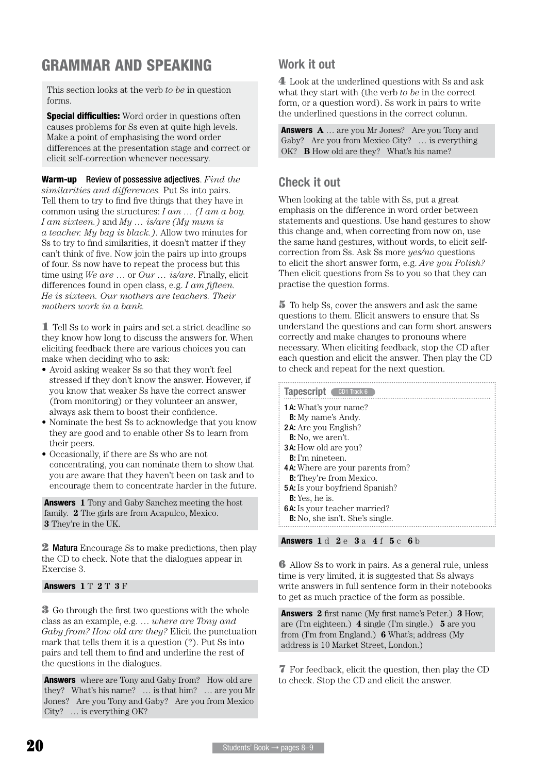## GRAMMAR AND SPEAKING

This section looks at the verb *to be* in question forms.

**Special difficulties:** Word order in questions often causes problems for Ss even at quite high levels. Make a point of emphasising the word order differences at the presentation stage and correct or elicit self-correction whenever necessary.

Warm-up Review of possessive adjectives. *Find the similarities and differences.* Put Ss into pairs. Tell them to try to find five things that they have in common using the structures: *I am … (I am a boy. I am sixteen.)* and *My … is/are (My mum is a teacher. My bag is black.)*. Allow two minutes for Ss to try to find similarities, it doesn't matter if they can't think of five. Now join the pairs up into groups of four. Ss now have to repeat the process but this time using *We are* … or *Our … is/are*. Finally, elicit differences found in open class, e.g. *I am fifteen. He is sixteen. Our mothers are teachers. Their mothers work in a bank.*

1 Tell Ss to work in pairs and set a strict deadline so they know how long to discuss the answers for. When eliciting feedback there are various choices you can make when deciding who to ask:

- Avoid asking weaker Ss so that they won't feel stressed if they don't know the answer. However, if you know that weaker Ss have the correct answer (from monitoring) or they volunteer an answer, always ask them to boost their confidence.
- Nominate the best Ss to acknowledge that you know they are good and to enable other Ss to learn from their peers.
- • Occasionally, if there are Ss who are not concentrating, you can nominate them to show that you are aware that they haven't been on task and to encourage them to concentrate harder in the future.

Answers **1** Tony and Gaby Sanchez meeting the host family. **2** The girls are from Acapulco, Mexico. **3** They're in the UK.

**2 Matura** Encourage Ss to make predictions, then play the CD to check. Note that the dialogues appear in Exercise 3.

#### Answers **1** T **2** T **3** F

3 Go through the first two questions with the whole class as an example, e.g. … *where are Tony and Gaby from? How old are they?* Elicit the punctuation mark that tells them it is a question (?). Put Ss into pairs and tell them to find and underline the rest of the questions in the dialogues.

**Answers** where are Tony and Gaby from? How old are they? What's his name? … is that him? … are you Mr Jones? Are you Tony and Gaby? Are you from Mexico City? … is everything OK?

### Work it out

4 Look at the underlined questions with Ss and ask what they start with (the verb *to be* in the correct form, or a question word). Ss work in pairs to write the underlined questions in the correct column.

Answers **A** … are you Mr Jones? Are you Tony and Gaby? Are you from Mexico City? … is everything OK? **B** How old are they? What's his name?

#### Check it out

When looking at the table with Ss, put a great emphasis on the difference in word order between statements and questions. Use hand gestures to show this change and, when correcting from now on, use the same hand gestures, without words, to elicit selfcorrection from Ss. Ask Ss more *yes/no* questions to elicit the short answer form, e.g. *Are you Polish?*  Then elicit questions from Ss to you so that they can practise the question forms.

5 To help Ss, cover the answers and ask the same questions to them. Elicit answers to ensure that Ss understand the questions and can form short answers correctly and make changes to pronouns where necessary. When eliciting feedback, stop the CD after each question and elicit the answer. Then play the CD to check and repeat for the next question.

| Tapescript CD1 Track 6                  |
|-----------------------------------------|
| <b>1 A:</b> What's your name?           |
| <b>B:</b> My name's Andy.               |
| <b>2A:</b> Are you English?             |
| <b>B:</b> No, we aren't.                |
| <b>3A:</b> How old are you?             |
| <b>B</b> : I'm nineteen.                |
| <b>4A:</b> Where are your parents from? |
| <b>B:</b> They're from Mexico.          |
| <b>5A:</b> Is your boyfriend Spanish?   |
| <b>B:</b> Yes, he is.                   |
| <b>6A:</b> Is your teacher married?     |
| <b>B:</b> No, she isn't. She's single.  |

Answers **1** d **2** e **3** a **4** f **5** c **6** b

6 Allow Ss to work in pairs. As a general rule, unless time is very limited, it is suggested that Ss always write answers in full sentence form in their notebooks to get as much practice of the form as possible.

Answers **2** first name (My first name's Peter.) **3** How; are (I'm eighteen.) **4** single (I'm single.) **5** are you from (I'm from England.) **6** What's; address (My address is 10 Market Street, London.)

7 For feedback, elicit the question, then play the CD to check. Stop the CD and elicit the answer.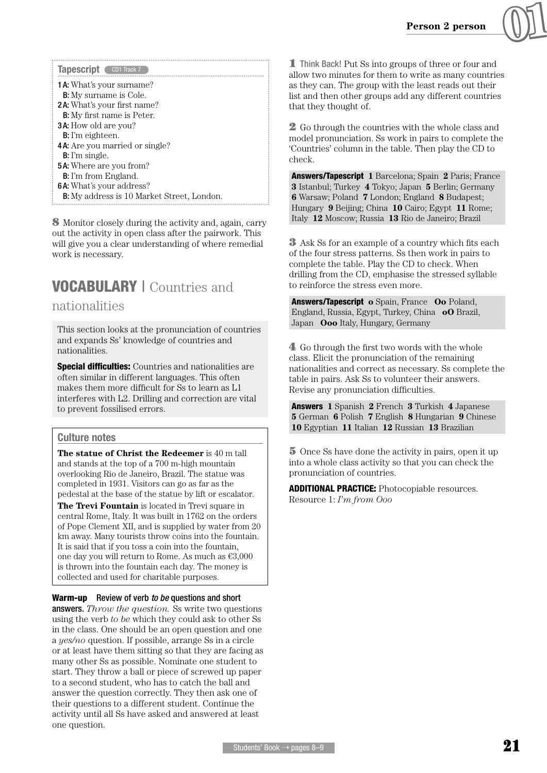

| Tapescript CD1 Track 7                            |  |  |
|---------------------------------------------------|--|--|
| <b>1 A:</b> What's your surname?                  |  |  |
| <b>B:</b> My surname is Cole.                     |  |  |
| <b>2A:</b> What's your first name?                |  |  |
| <b>B:</b> My first name is Peter.                 |  |  |
| <b>3A:</b> How old are you?                       |  |  |
| <b>B</b> : I'm eighteen.                          |  |  |
| <b>4A:</b> Are you married or single?             |  |  |
| <b>B</b> : I'm single.                            |  |  |
| <b>5A:</b> Where are you from?                    |  |  |
| <b>B:</b> I'm from England.                       |  |  |
| <b>6A:</b> What's your address?                   |  |  |
| <b>B:</b> My address is 10 Market Street, London. |  |  |

8 Monitor closely during the activity and, again, carry out the activity in open class after the pairwork. This will give you a clear understanding of where remedial work is necessary.

# VOCABULARY | Countries and

#### nationalities

This section looks at the pronunciation of countries and expands Ss' knowledge of countries and nationalities.

**Special difficulties:** Countries and nationalities are often similar in different languages. This often makes them more difficult for Ss to learn as L1 interferes with L2. Drilling and correction are vital to prevent fossilised errors.

#### Culture notes

**The statue of Christ the Redeemer** is 40 m tall and stands at the top of a 700 m-high mountain overlooking Rio de Janeiro, Brazil. The statue was completed in 1931. Visitors can go as far as the pedestal at the base of the statue by lift or escalator.

**The Trevi Fountain** is located in Trevi square in central Rome, Italy. It was built in 1762 on the orders of Pope Clement XII, and is supplied by water from 20 km away. Many tourists throw coins into the fountain. It is said that if you toss a coin into the fountain, one day you will return to Rome. As much as €3,000 is thrown into the fountain each day. The money is collected and used for charitable purposes.

#### Warm-up Review of verb *to be* questions and short

answers. *Throw the question.* Ss write two questions using the verb *to be* which they could ask to other Ss in the class. One should be an open question and one a *yes/no* question. If possible, arrange Ss in a circle or at least have them sitting so that they are facing as many other Ss as possible. Nominate one student to start. They throw a ball or piece of screwed up paper to a second student, who has to catch the ball and answer the question correctly. They then ask one of their questions to a different student. Continue the activity until all Ss have asked and answered at least one question.

**1** Think Back! Put Ss into groups of three or four and allow two minutes for them to write as many countries as they can. The group with the least reads out their list and then other groups add any different countries that they thought of.

**2** Go through the countries with the whole class and model pronunciation. Ss work in pairs to complete the 'Countries' column in the table. Then play the CD to check.

Answers/Tapescript **1** Barcelona; Spain **2** Paris; France **3** Istanbul; Turkey **4** Tokyo; Japan **5** Berlin; Germany **6** Warsaw; Poland **7** London; England **8** Budapest; Hungary **9** Beijing; China **10** Cairo; Egypt **11** Rome; Italy **12** Moscow; Russia **13** Rio de Janeiro; Brazil

3 Ask Ss for an example of a country which fits each of the four stress patterns. Ss then work in pairs to complete the table. Play the CD to check. When drilling from the CD, emphasise the stressed syllable to reinforce the stress even more.

Answers/Tapescript **o** Spain, France **Oo** Poland, England, Russia, Egypt, Turkey, China **oO** Brazil, Japan **Ooo** Italy, Hungary, Germany

4 Go through the first two words with the whole class. Elicit the pronunciation of the remaining nationalities and correct as necessary. Ss complete the table in pairs. Ask Ss to volunteer their answers. Revise any pronunciation difficulties.

Answers **1** Spanish **2** French **3** Turkish **4** Japanese **5** German **6** Polish **7** English **8** Hungarian **9** Chinese **10** Egyptian **11** Italian **12** Russian **13** Brazilian

5 Once Ss have done the activity in pairs, open it up into a whole class activity so that you can check the pronunciation of countries.

ADDITIONAL PRACTICE: Photocopiable resources. Resource 1: *I'm from Ooo*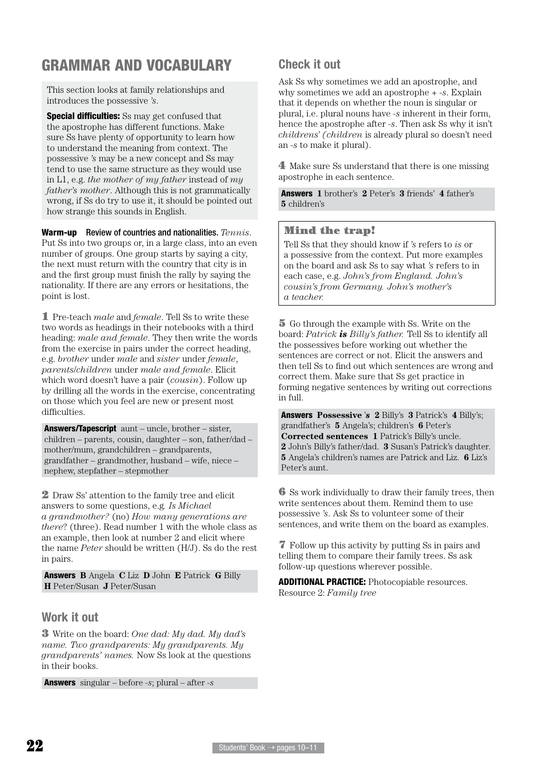## GRAMMAR AND VOCABULARY

This section looks at family relationships and introduces the possessive *'s*.

**Special difficulties:** Ss may get confused that the apostrophe has different functions. Make sure Ss have plenty of opportunity to learn how to understand the meaning from context. The possessive *'s* may be a new concept and Ss may tend to use the same structure as they would use in L1, e.g. *the mother of my father* instead of *my father's mother*. Although this is not grammatically wrong, if Ss do try to use it, it should be pointed out how strange this sounds in English.

Warm-up Review of countries and nationalities. *Tennis*. Put Ss into two groups or, in a large class, into an even number of groups. One group starts by saying a city, the next must return with the country that city is in and the first group must finish the rally by saying the nationality. If there are any errors or hesitations, the point is lost.

1 Pre-teach *male* and *female*. Tell Ss to write these two words as headings in their notebooks with a third heading: *male and female*. They then write the words from the exercise in pairs under the correct heading, e.g. *brother* under *male* and *sister* under *female*, *parents*/*children* under *male and female*. Elicit which word doesn't have a pair (*cousin*). Follow up by drilling all the words in the exercise, concentrating on those which you feel are new or present most difficulties.

Answers/Tapescript aunt – uncle, brother – sister, children – parents, cousin, daughter – son, father/dad – mother/mum, grandchildren – grandparents, grandfather – grandmother, husband – wife, niece – nephew, stepfather – stepmother

2 Draw Ss' attention to the family tree and elicit answers to some questions, e.g*. Is Michael a grandmother?* (no) *How many generations are there*? (three). Read number 1 with the whole class as an example, then look at number 2 and elicit where the name *Peter* should be written (H/J). Ss do the rest in pairs.

Answers **B** Angela **C** Liz **D** John **E** Patrick **G** Billy **H** Peter/Susan **J** Peter/Susan

#### Work it out

3 Write on the board: *One dad: My dad. My dad's name. Two grandparents: My grandparents. My grandparents' names.* Now Ss look at the questions in their books.

Answers singular – before *-s*; plural – after *-s*

#### Check it out

Ask Ss why sometimes we add an apostrophe, and why sometimes we add an apostrophe + *-s*. Explain that it depends on whether the noun is singular or plural, i.e. plural nouns have *-s* inherent in their form, hence the apostrophe after *-s*. Then ask Ss why it isn't *childrens*' *(children* is already plural so doesn't need an *-s* to make it plural).

4 Make sure Ss understand that there is one missing apostrophe in each sentence.

Answers **1** brother's **2** Peter's **3** friends' **4** father's **5** children's

#### Mind the trap!

Tell Ss that they should know if *'s* refers to *is* or a possessive from the context. Put more examples on the board and ask Ss to say what *'s* refers to in each case, e.g. *John's from England. John's cousin's from Germany. John's mother's a teacher.*

5 Go through the example with Ss. Write on the board: *Patrick is Billy's father.* Tell Ss to identify all the possessives before working out whether the sentences are correct or not. Elicit the answers and then tell Ss to find out which sentences are wrong and correct them. Make sure that Ss get practice in forming negative sentences by writing out corrections in full.

Answers **Possessive** '*s* **2** Billy's **3** Patrick's **4** Billy's; grandfather's **5** Angela's; children's **6** Peter's **Corrected sentences 1** Patrick's Billy's uncle. **2** John's Billy's father/dad. **3** Susan's Patrick's daughter. **5** Angela's children's names are Patrick and Liz. **6** Liz's Peter's aunt.

6 Ss work individually to draw their family trees, then write sentences about them. Remind them to use possessive *'s*. Ask Ss to volunteer some of their sentences, and write them on the board as examples.

7 Follow up this activity by putting Ss in pairs and telling them to compare their family trees. Ss ask follow-up questions wherever possible.

ADDITIONAL PRACTICE: Photocopiable resources. Resource 2: *Family tree*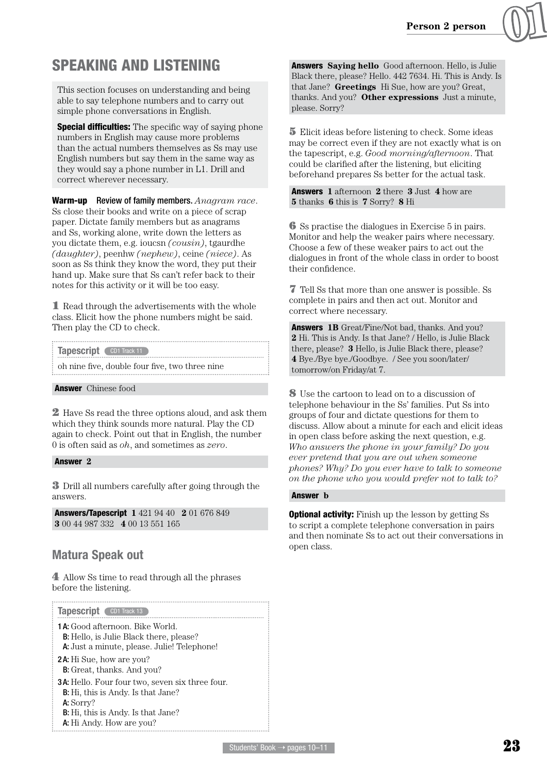

## SPEAKING AND LISTENING

This section focuses on understanding and being able to say telephone numbers and to carry out simple phone conversations in English.

**Special difficulties:** The specific way of saying phone numbers in English may cause more problems than the actual numbers themselves as Ss may use English numbers but say them in the same way as they would say a phone number in L1. Drill and correct wherever necessary.

Warm-up Review of family members. *Anagram race*. Ss close their books and write on a piece of scrap paper. Dictate family members but as anagrams and Ss, working alone, write down the letters as you dictate them, e.g. ioucsn *(cousin)*, tgaurdhe *(daughter)*, peenhw *(nephew)*, ceine *(niece)*. As soon as Ss think they know the word, they put their hand up. Make sure that Ss can't refer back to their notes for this activity or it will be too easy.

**1** Read through the advertisements with the whole class. Elicit how the phone numbers might be said. Then play the CD to check.

| Tapescript CD1 Track 11 |                                                |  |
|-------------------------|------------------------------------------------|--|
|                         | oh nine five, double four five, two three nine |  |

#### **Answer** Chinese food

2 Have Ss read the three options aloud, and ask them which they think sounds more natural. Play the CD again to check. Point out that in English, the number 0 is often said as *oh*, and sometimes as *zero*.

#### Answer **2**

3 Drill all numbers carefully after going through the answers.

Answers/Tapescript **1** 421 94 40 **2** 01 676 849 **3** 00 44 987 332 **4** 00 13 551 165

#### Matura Speak out

4 Allow Ss time to read through all the phrases before the listening.

| Tapescript CD1 Track 13                                                                                                                                                            |  |
|------------------------------------------------------------------------------------------------------------------------------------------------------------------------------------|--|
| <b>1A:</b> Good afternoon. Bike World.<br><b>B:</b> Hello, is Julie Black there, please?<br><b>A:</b> Just a minute, please. Julie! Telephone!                                     |  |
| <b>2A:</b> Hi Sue, how are you?<br><b>B:</b> Great, thanks. And you?                                                                                                               |  |
| 3A: Hello. Four four two, seven six three four.<br><b>B:</b> Hi, this is Andy. Is that Jane?<br>A: Sorry?<br><b>B:</b> Hi, this is Andy. Is that Jane?<br>A: Hi Andy. How are you? |  |

Answers **Saying hello** Good afternoon. Hello, is Julie Black there, please? Hello. 442 7634. Hi. This is Andy. Is that Jane? **Greetings** Hi Sue, how are you? Great, thanks. And you? **Other expressions** Just a minute, please. Sorry?

5 Elicit ideas before listening to check. Some ideas may be correct even if they are not exactly what is on the tapescript, e.g. *Good morning/afternoon*. That could be clarified after the listening, but eliciting beforehand prepares Ss better for the actual task.

Answers **1** afternoon **2** there **3** Just **4** how are **5** thanks **6** this is **7** Sorry? **8** Hi

6 Ss practise the dialogues in Exercise 5 in pairs. Monitor and help the weaker pairs where necessary. Choose a few of these weaker pairs to act out the dialogues in front of the whole class in order to boost their confidence.

7 Tell Ss that more than one answer is possible. Ss complete in pairs and then act out. Monitor and correct where necessary.

Answers **1B** Great/Fine/Not bad, thanks. And you? **2** Hi. This is Andy. Is that Jane? / Hello, is Julie Black there, please? **3** Hello, is Julie Black there, please? **4** Bye./Bye bye./Goodbye. / See you soon/later/ tomorrow/on Friday/at 7.

8 Use the cartoon to lead on to a discussion of telephone behaviour in the Ss' families. Put Ss into groups of four and dictate questions for them to discuss. Allow about a minute for each and elicit ideas in open class before asking the next question, e.g. *Who answers the phone in your family? Do you ever pretend that you are out when someone phones? Why? Do you ever have to talk to someone on the phone who you would prefer not to talk to?*

#### Answer **b**

**Optional activity:** Finish up the lesson by getting Ss to script a complete telephone conversation in pairs and then nominate Ss to act out their conversations in open class.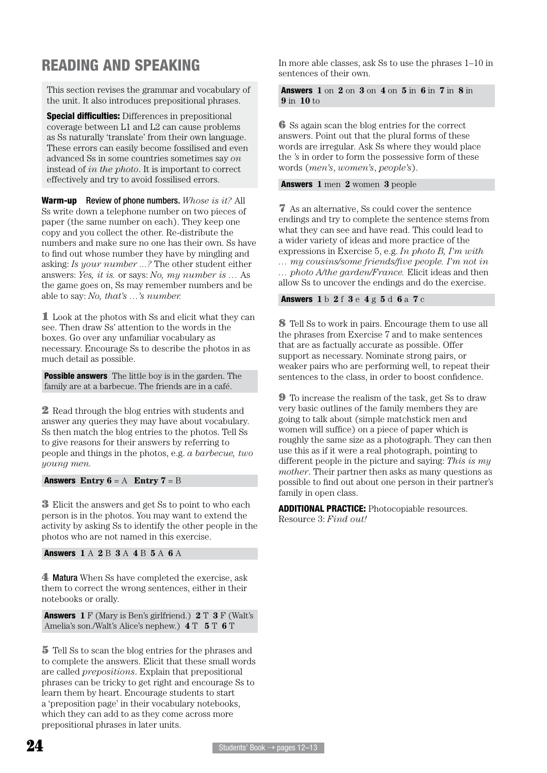## READING AND SPEAKING

This section revises the grammar and vocabulary of the unit. It also introduces prepositional phrases.

Special difficulties: Differences in prepositional coverage between L1 and L2 can cause problems as Ss naturally 'translate' from their own language. These errors can easily become fossilised and even advanced Ss in some countries sometimes say *on*  instead of *in the photo*. It is important to correct effectively and try to avoid fossilised errors.

Warm-up Review of phone numbers. *Whose is it?* All Ss write down a telephone number on two pieces of paper (the same number on each). They keep one copy and you collect the other. Re-distribute the numbers and make sure no one has their own. Ss have to find out whose number they have by mingling and asking: *Is your number ...?* The other student either answers: *Yes, it is.* or says: *No, my number is …* As the game goes on, Ss may remember numbers and be able to say: *No, that's …'s number.*

1 Look at the photos with Ss and elicit what they can see. Then draw Ss' attention to the words in the boxes. Go over any unfamiliar vocabulary as necessary. Encourage Ss to describe the photos in as much detail as possible.

**Possible answers** The little boy is in the garden. The family are at a barbecue. The friends are in a café.

2 Read through the blog entries with students and answer any queries they may have about vocabulary. Ss then match the blog entries to the photos. Tell Ss to give reasons for their answers by referring to people and things in the photos, e.g. *a barbecue, two young men.*

**Answers Entry**  $6 = A$  **<b>Entry 7** = B

3 Elicit the answers and get Ss to point to who each person is in the photos. You may want to extend the activity by asking Ss to identify the other people in the photos who are not named in this exercise.

Answers **1** A **2** B **3** A **4** B **5** A **6** A

4 Matura When Ss have completed the exercise, ask them to correct the wrong sentences, either in their notebooks or orally.

Answers **1** F (Mary is Ben's girlfriend.) **2** T **3** F (Walt's Amelia's son./Walt's Alice's nephew.) **4** T **5** T **6** T

5 Tell Ss to scan the blog entries for the phrases and to complete the answers. Elicit that these small words are called *prepositions*. Explain that prepositional phrases can be tricky to get right and encourage Ss to learn them by heart. Encourage students to start a 'preposition page' in their vocabulary notebooks, which they can add to as they come across more prepositional phrases in later units.

In more able classes, ask Ss to use the phrases 1–10 in sentences of their own.

Answers **1** on **2** on **3** on **4** on **5** in **6** in **7** in **8** in **9** in **10** to

6 Ss again scan the blog entries for the correct answers. Point out that the plural forms of these words are irregular. Ask Ss where they would place the *'s* in order to form the possessive form of these words (*men's*, *women's*, *people's*).

#### Answers **1** men **2** women **3** people

7 As an alternative, Ss could cover the sentence endings and try to complete the sentence stems from what they can see and have read. This could lead to a wider variety of ideas and more practice of the expressions in Exercise 5, e.g. *In photo B, I'm with … my cousins/some friends/five people. I'm not in … photo A/the garden/France.* Elicit ideas and then allow Ss to uncover the endings and do the exercise.

#### Answers **1** b **2** f **3** e **4** g **5** d **6** a **7** c

8 Tell Ss to work in pairs. Encourage them to use all the phrases from Exercise 7 and to make sentences that are as factually accurate as possible. Offer support as necessary. Nominate strong pairs, or weaker pairs who are performing well, to repeat their sentences to the class, in order to boost confidence.

9 To increase the realism of the task, get Ss to draw very basic outlines of the family members they are going to talk about (simple matchstick men and women will suffice) on a piece of paper which is roughly the same size as a photograph. They can then use this as if it were a real photograph, pointing to different people in the picture and saying: *This is my mother*. Their partner then asks as many questions as possible to find out about one person in their partner's family in open class.

ADDITIONAL PRACTICE: Photocopiable resources. Resource 3: *Find out!*